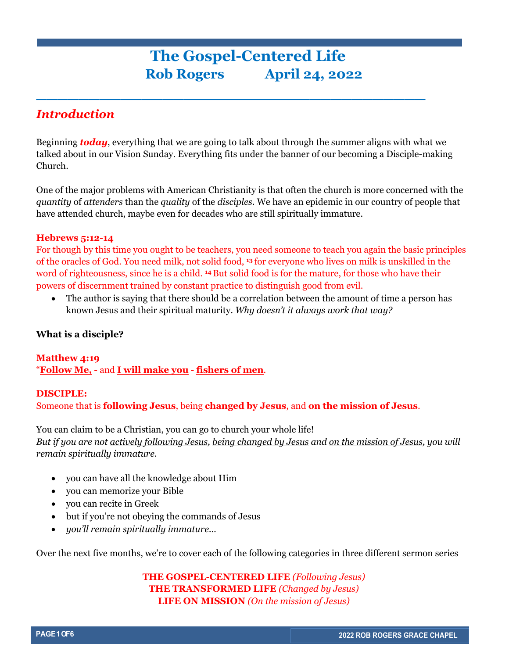# **The Gospel-Centered Life Rob Rogers April 24, 2022**

# *Introduction*

Beginning *today*, everything that we are going to talk about through the summer aligns with what we talked about in our Vision Sunday. Everything fits under the banner of our becoming a Disciple-making Church.

**\_\_\_\_\_\_\_\_\_\_\_\_\_\_\_\_\_\_\_\_\_\_\_\_\_\_\_\_\_\_\_\_\_\_\_\_\_**

One of the major problems with American Christianity is that often the church is more concerned with the *quantity* of *attenders* than the *quality* of the *disciples*. We have an epidemic in our country of people that have attended church, maybe even for decades who are still spiritually immature.

#### **Hebrews 5:12-14**

For though by this time you ought to be teachers, you need someone to teach you again the basic principles of the oracles of God. You need milk, not solid food, **<sup>13</sup>** for everyone who lives on milk is unskilled in the word of righteousness, since he is a child. **<sup>14</sup>** But solid food is for the mature, for those who have their powers of discernment trained by constant practice to distinguish good from evil.

• The author is saying that there should be a correlation between the amount of time a person has known Jesus and their spiritual maturity. *Why doesn't it always work that way?* 

### **What is a disciple?**

### **Matthew 4:19**

"**Follow Me,** - and **I will make you** - **fishers of men**.

### **DISCIPLE:**

Someone that is **following Jesus**, being **changed by Jesus**, and **on the mission of Jesus**.

You can claim to be a Christian, you can go to church your whole life! *But if you are not actively following Jesus, being changed by Jesus and on the mission of Jesus, you will remain spiritually immature.* 

- you can have all the knowledge about Him
- you can memorize your Bible
- you can recite in Greek
- but if you're not obeying the commands of Jesus
- *you'll remain spiritually immature…*

Over the next five months, we're to cover each of the following categories in three different sermon series

**THE GOSPEL-CENTERED LIFE** *(Following Jesus)* **THE TRANSFORMED LIFE** *(Changed by Jesus)* **LIFE ON MISSION** *(On the mission of Jesus)*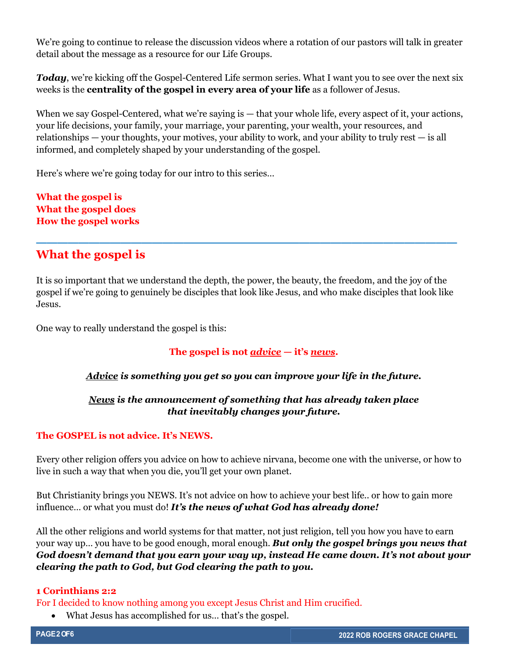We're going to continue to release the discussion videos where a rotation of our pastors will talk in greater detail about the message as a resource for our Life Groups.

*Today*, we're kicking off the Gospel-Centered Life sermon series. What I want you to see over the next six weeks is the **centrality of the gospel in every area of your life** as a follower of Jesus.

When we say Gospel-Centered, what we're saying is — that your whole life, every aspect of it, your actions, your life decisions, your family, your marriage, your parenting, your wealth, your resources, and relationships — your thoughts, your motives, your ability to work, and your ability to truly rest — is all informed, and completely shaped by your understanding of the gospel.

Here's where we're going today for our intro to this series…

**What the gospel is What the gospel does How the gospel works**

# **What the gospel is**

It is so important that we understand the depth, the power, the beauty, the freedom, and the joy of the gospel if we're going to genuinely be disciples that look like Jesus, and who make disciples that look like Jesus.

**\_\_\_\_\_\_\_\_\_\_\_\_\_\_\_\_\_\_\_\_\_\_\_\_\_\_\_\_\_\_\_\_\_\_\_\_\_\_\_\_**

One way to really understand the gospel is this:

### **The gospel is not** *advice* **— it's** *news***.**

#### *Advice is something you get so you can improve your life in the future.*

### *News is the announcement of something that has already taken place that inevitably changes your future.*

#### **The GOSPEL is not advice. It's NEWS.**

Every other religion offers you advice on how to achieve nirvana, become one with the universe, or how to live in such a way that when you die, you'll get your own planet.

But Christianity brings you NEWS. It's not advice on how to achieve your best life.. or how to gain more influence… or what you must do! *It's the news of what God has already done!*

All the other religions and world systems for that matter, not just religion, tell you how you have to earn your way up… you have to be good enough, moral enough. *But only the gospel brings you news that God doesn't demand that you earn your way up, instead He came down. It's not about your clearing the path to God, but God clearing the path to you.* 

#### **1 Corinthians 2:2**

For I decided to know nothing among you except Jesus Christ and Him crucified.

• What Jesus has accomplished for us... that's the gospel.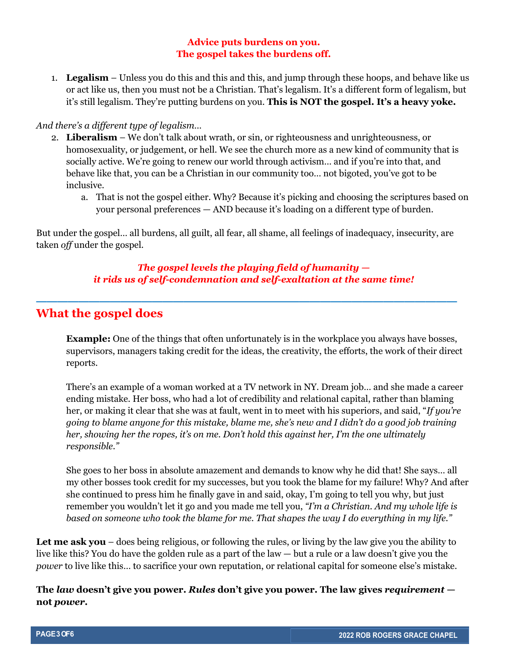#### **Advice puts burdens on you. The gospel takes the burdens off.**

1. **Legalism** – Unless you do this and this and this, and jump through these hoops, and behave like us or act like us, then you must not be a Christian. That's legalism. It's a different form of legalism, but it's still legalism. They're putting burdens on you. **This is NOT the gospel. It's a heavy yoke.** 

#### *And there's a different type of legalism…*

- 2. **Liberalism** We don't talk about wrath, or sin, or righteousness and unrighteousness, or homosexuality, or judgement, or hell. We see the church more as a new kind of community that is socially active. We're going to renew our world through activism… and if you're into that, and behave like that, you can be a Christian in our community too… not bigoted, you've got to be inclusive.
	- a. That is not the gospel either. Why? Because it's picking and choosing the scriptures based on your personal preferences — AND because it's loading on a different type of burden.

But under the gospel… all burdens, all guilt, all fear, all shame, all feelings of inadequacy, insecurity, are taken *off* under the gospel.

# *The gospel levels the playing field of humanity it rids us of self-condemnation and self-exaltation at the same time!*

**\_\_\_\_\_\_\_\_\_\_\_\_\_\_\_\_\_\_\_\_\_\_\_\_\_\_\_\_\_\_\_\_\_\_\_\_\_\_\_\_**

# **What the gospel does**

**Example:** One of the things that often unfortunately is in the workplace you always have bosses, supervisors, managers taking credit for the ideas, the creativity, the efforts, the work of their direct reports.

There's an example of a woman worked at a TV network in NY. Dream job… and she made a career ending mistake. Her boss, who had a lot of credibility and relational capital, rather than blaming her, or making it clear that she was at fault, went in to meet with his superiors, and said, "*If you're going to blame anyone for this mistake, blame me, she's new and I didn't do a good job training her, showing her the ropes, it's on me. Don't hold this against her, I'm the one ultimately responsible."* 

She goes to her boss in absolute amazement and demands to know why he did that! She says… all my other bosses took credit for my successes, but you took the blame for my failure! Why? And after she continued to press him he finally gave in and said, okay, I'm going to tell you why, but just remember you wouldn't let it go and you made me tell you, *"I'm a Christian. And my whole life is based on someone who took the blame for me. That shapes the way I do everything in my life."* 

**Let me ask you** – does being religious, or following the rules, or living by the law give you the ability to live like this? You do have the golden rule as a part of the law — but a rule or a law doesn't give you the *power* to live like this... to sacrifice your own reputation, or relational capital for someone else's mistake.

**The** *law* **doesn't give you power.** *Rules* **don't give you power. The law gives** *requirement*  **not** *power***.**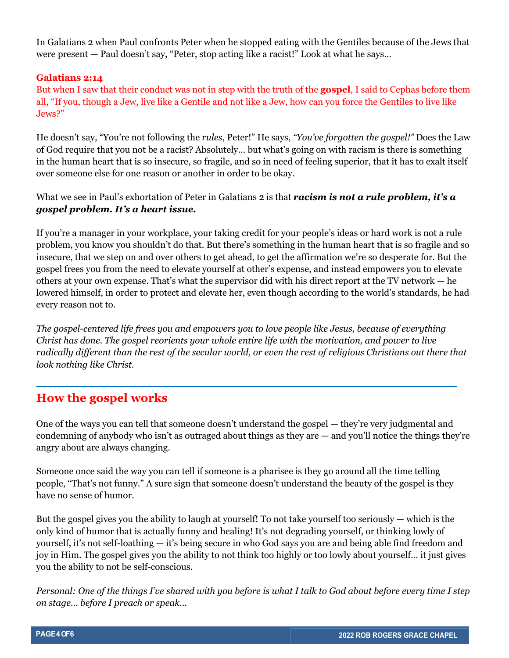In Galatians 2 when Paul confronts Peter when he stopped eating with the Gentiles because of the Jews that were present — Paul doesn't say, "Peter, stop acting like a racist!" Look at what he says…

#### **Galatians 2:14**

But when I saw that their conduct was not in step with the truth of the **gospel**, I said to Cephas before them all, "If you, though a Jew, live like a Gentile and not like a Jew, how can you force the Gentiles to live like Jews?"

He doesn't say, "You're not following the *rules*, Peter!" He says, *"You've forgotten the gospel!"* Does the Law of God require that you not be a racist? Absolutely… but what's going on with racism is there is something in the human heart that is so insecure, so fragile, and so in need of feeling superior, that it has to exalt itself over someone else for one reason or another in order to be okay.

What we see in Paul's exhortation of Peter in Galatians 2 is that *racism is not a rule problem, it's a gospel problem. It's a heart issue.*

If you're a manager in your workplace, your taking credit for your people's ideas or hard work is not a rule problem, you know you shouldn't do that. But there's something in the human heart that is so fragile and so insecure, that we step on and over others to get ahead, to get the affirmation we're so desperate for. But the gospel frees you from the need to elevate yourself at other's expense, and instead empowers you to elevate others at your own expense. That's what the supervisor did with his direct report at the TV network — he lowered himself, in order to protect and elevate her, even though according to the world's standards, he had every reason not to.

*The gospel-centered life frees you and empowers you to love people like Jesus, because of everything Christ has done. The gospel reorients your whole entire life with the motivation, and power to live radically different than the rest of the secular world, or even the rest of religious Christians out there that look nothing like Christ.* 

**\_\_\_\_\_\_\_\_\_\_\_\_\_\_\_\_\_\_\_\_\_\_\_\_\_\_\_\_\_\_\_\_\_\_\_\_\_\_\_\_**

# **How the gospel works**

One of the ways you can tell that someone doesn't understand the gospel — they're very judgmental and condemning of anybody who isn't as outraged about things as they are — and you'll notice the things they're angry about are always changing.

Someone once said the way you can tell if someone is a pharisee is they go around all the time telling people, "That's not funny." A sure sign that someone doesn't understand the beauty of the gospel is they have no sense of humor.

But the gospel gives you the ability to laugh at yourself! To not take yourself too seriously — which is the only kind of humor that is actually funny and healing! It's not degrading yourself, or thinking lowly of yourself, it's not self-loathing — it's being secure in who God says you are and being able find freedom and joy in Him. The gospel gives you the ability to not think too highly or too lowly about yourself… it just gives you the ability to not be self-conscious.

*Personal: One of the things I've shared with you before is what I talk to God about before every time I step on stage… before I preach or speak…*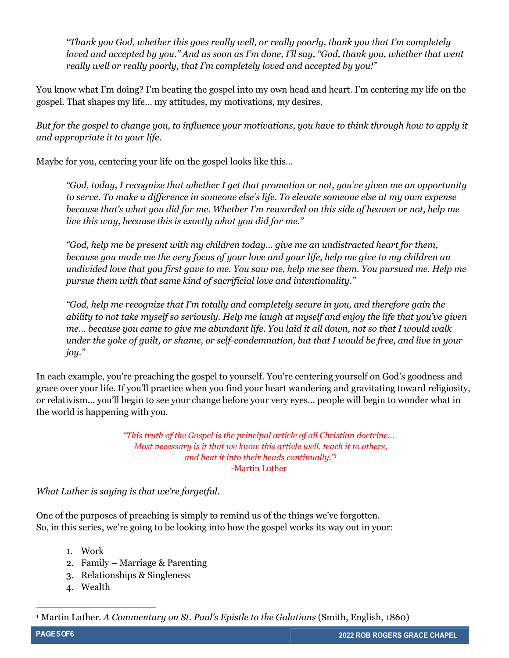*"Thank you God, whether this goes really well, or really poorly, thank you that I'm completely loved and accepted by you." And as soon as I'm done, I'll say, "God, thank you, whether that went really well or really poorly, that I'm completely loved and accepted by you!"* 

You know what I'm doing? I'm beating the gospel into my own head and heart. I'm centering my life on the gospel. That shapes my life… my attitudes, my motivations, my desires.

*But for the gospel to change you, to influence your motivations, you have to think through how to apply it and appropriate it to your life.*

Maybe for you, centering your life on the gospel looks like this…

*"God, today, I recognize that whether I get that promotion or not, you've given me an opportunity to serve. To make a difference in someone else's life. To elevate someone else at my own expense because that's what you did for me. Whether I'm rewarded on this side of heaven or not, help me live this way, because this is exactly what you did for me."* 

*"God, help me be present with my children today… give me an undistracted heart for them, because you made me the very focus of your love and your life, help me give to my children an undivided love that you first gave to me. You saw me, help me see them. You pursued me. Help me pursue them with that same kind of sacrificial love and intentionality."* 

*"God, help me recognize that I'm totally and completely secure in you, and therefore gain the ability to not take myself so seriously. Help me laugh at myself and enjoy the life that you've given me… because you came to give me abundant life. You laid it all down, not so that I would walk under the yoke of guilt, or shame, or self-condemnation, but that I would be free, and live in your joy."*

In each example, you're preaching the gospel to yourself. You're centering yourself on God's goodness and grace over your life. If you'll practice when you find your heart wandering and gravitating toward religiosity, or relativism… you'll begin to see your change before your very eyes… people will begin to wonder what in the world is happening with you.

> *"This truth of the Gospel is the principal article of all Christian doctrine… Most necessary is it that we know this article well, teach it to others, and beat it into their heads continually."1* -Martin Luther

*What Luther is saying is that we're forgetful.*

One of the purposes of preaching is simply to remind us of the things we've forgotten. So, in this series, we're going to be looking into how the gospel works its way out in your:

- 1. Work
- 2. Family Marriage & Parenting
- 3. Relationships & Singleness
- 4. Wealth

<sup>1</sup> Martin Luther. *A Commentary on St. Paul's Epistle to the Galatians* (Smith, English, 1860)